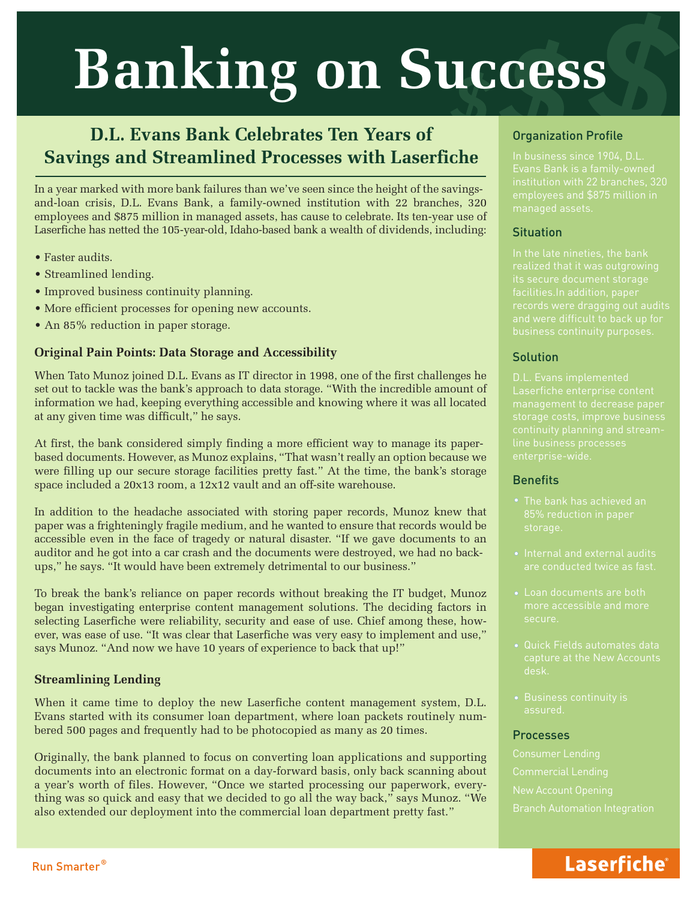# **Banking on Success**

# **D.L. Evans Bank Celebrates Ten Years of Savings and Streamlined Processes with Laserfiche**

In a year marked with more bank failures than we've seen since the height of the savingsand-loan crisis, D.L. Evans Bank, a family-owned institution with 22 branches, 320 employees and \$875 million in managed assets, has cause to celebrate. Its ten-year use of Laserfiche has netted the 105-year-old, Idaho-based bank a wealth of dividends, including:

- Faster audits.
- Streamlined lending.
- Improved business continuity planning.
- More efficient processes for opening new accounts.
- An 85% reduction in paper storage.

## **Original Pain Points: Data Storage and Accessibility**

When Tato Munoz joined D.L. Evans as IT director in 1998, one of the first challenges he set out to tackle was the bank's approach to data storage. "With the incredible amount of information we had, keeping everything accessible and knowing where it was all located at any given time was difficult," he says.

At first, the bank considered simply finding a more efficient way to manage its paperbased documents. However, as Munoz explains, "That wasn't really an option because we were filling up our secure storage facilities pretty fast." At the time, the bank's storage space included a 20x13 room, a 12x12 vault and an off-site warehouse.

In addition to the headache associated with storing paper records, Munoz knew that paper was a frighteningly fragile medium, and he wanted to ensure that records would be accessible even in the face of tragedy or natural disaster. "If we gave documents to an auditor and he got into a car crash and the documents were destroyed, we had no backups," he says. "It would have been extremely detrimental to our business."

To break the bank's reliance on paper records without breaking the IT budget, Munoz began investigating enterprise content management solutions. The deciding factors in selecting Laserfiche were reliability, security and ease of use. Chief among these, however, was ease of use. "It was clear that Laserfiche was very easy to implement and use," says Munoz. "And now we have 10 years of experience to back that up!"

### **Streamlining Lending**

When it came time to deploy the new Laserfiche content management system, D.L. Evans started with its consumer loan department, where loan packets routinely numbered 500 pages and frequently had to be photocopied as many as 20 times.

Originally, the bank planned to focus on converting loan applications and supporting documents into an electronic format on a day-forward basis, only back scanning about a year's worth of files. However, "Once we started processing our paperwork, everything was so quick and easy that we decided to go all the way back," says Munoz. "We also extended our deployment into the commercial loan department pretty fast."

# Organization Profile

In business since 1904, D.L. employees and \$875 million in

### **Situation**

# **Solution**

### **Benefits**

- 
- 
- 
- 
- assured.

#### **Processes**

Branch Automation Integration

# Laserfiche®